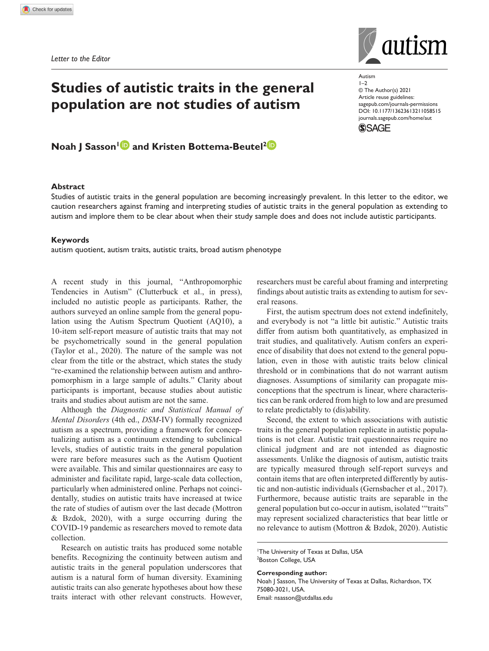**1058515** AUT0010.1177/13623613211058515Autism**Sasson and Bottema-Beutel**

*Letter to the Editor*

# **Studies of autistic traits in the general population are not studies of autism**

## **Noah J Sasson<sup>1</sup> and Kristen Bottema-Beutel<sup>2</sup>**

## **Abstract**

Studies of autistic traits in the general population are becoming increasingly prevalent. In this letter to the editor, we caution researchers against framing and interpreting studies of autistic traits in the general population as extending to autism and implore them to be clear about when their study sample does and does not include autistic participants.

#### **Keywords**

autism quotient, autism traits, autistic traits, broad autism phenotype

A recent study in this journal, "Anthropomorphic Tendencies in Autism" (Clutterbuck et al., in press), included no autistic people as participants. Rather, the authors surveyed an online sample from the general population using the Autism Spectrum Quotient (AQ10), a 10-item self-report measure of autistic traits that may not be psychometrically sound in the general population (Taylor et al., 2020). The nature of the sample was not clear from the title or the abstract, which states the study "re-examined the relationship between autism and anthropomorphism in a large sample of adults." Clarity about participants is important, because studies about autistic traits and studies about autism are not the same.

Although the *Diagnostic and Statistical Manual of Mental Disorders* (4th ed., *DSM*-IV) formally recognized autism as a spectrum, providing a framework for conceptualizing autism as a continuum extending to subclinical levels, studies of autistic traits in the general population were rare before measures such as the Autism Quotient were available. This and similar questionnaires are easy to administer and facilitate rapid, large-scale data collection, particularly when administered online. Perhaps not coincidentally, studies on autistic traits have increased at twice the rate of studies of autism over the last decade (Mottron & Bzdok, 2020), with a surge occurring during the COVID-19 pandemic as researchers moved to remote data collection.

Research on autistic traits has produced some notable benefits. Recognizing the continuity between autism and autistic traits in the general population underscores that autism is a natural form of human diversity. Examining autistic traits can also generate hypotheses about how these traits interact with other relevant constructs. However, researchers must be careful about framing and interpreting findings about autistic traits as extending to autism for several reasons.

First, the autism spectrum does not extend indefinitely, and everybody is not "a little bit autistic." Autistic traits differ from autism both quantitatively, as emphasized in trait studies, and qualitatively. Autism confers an experience of disability that does not extend to the general population, even in those with autistic traits below clinical threshold or in combinations that do not warrant autism diagnoses. Assumptions of similarity can propagate misconceptions that the spectrum is linear, where characteristics can be rank ordered from high to low and are presumed to relate predictably to (dis)ability.

Second, the extent to which associations with autistic traits in the general population replicate in autistic populations is not clear. Autistic trait questionnaires require no clinical judgment and are not intended as diagnostic assessments. Unlike the diagnosis of autism, autistic traits are typically measured through self-report surveys and contain items that are often interpreted differently by autistic and non-autistic individuals (Gernsbacher et al., 2017). Furthermore, because autistic traits are separable in the general population but co-occur in autism, isolated '"traits" may represent socialized characteristics that bear little or no relevance to autism (Mottron & Bzdok, 2020). Autistic

#### **Corresponding author:**

Noah J Sasson, The University of Texas at Dallas, Richardson, TX 75080-3021, USA. Email: nsasson@utdallas.edu



Autism  $1 - 2$ © The Author(s) 2021 Article reuse guidelines: sagepub.com/journals-permissions https://doi.org/10.1177/13623613211058515 DOI: 10.1177/13623613211058515 journals.sagepub.com/home/aut **SSAGE** 

<sup>1</sup>The University of Texas at Dallas, USA <sup>2</sup>Boston College, USA